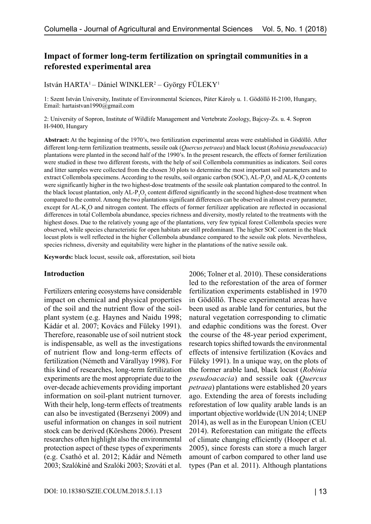# **Impact of former long-term fertilization on springtail communities in a reforested experimental area**

István HARTA' – Dániel WINKLER<sup>2</sup> – György FÜLEKY'

1: Szent István University, Institute of Environmental Sciences, Páter Károly u. 1. Gödöllő H-2100, Hungary, Email: hartaistvan1990@gmail.com

2: University of Sopron, Institute of Wildlife Management and Vertebrate Zoology, Bajcsy-Zs. u. 4. Sopron H‑9400, Hungary

**Abstract:** At the beginning of the 1970's, two fertilization experimental areas were established in Gödöllő. After different long-term fertilization treatments, sessile oak (*Quercus petraea*) and black locust (*Robinia pseudoacacia*) plantations were planted in the second half of the 1990's. In the present research, the effects of former fertilization were studied in these two different forests, with the help of soil Collembola communities as indicators. Soil cores and litter samples were collected from the chosen 30 plots to determine the most important soil parameters and to extract Collembola specimens. According to the results, soil organic carbon (SOC), AL-P<sub>2</sub>O<sub>5</sub> and AL-K<sub>2</sub>O contents were significantly higher in the two highest-dose treatments of the sessile oak plantation compared to the control. In the black locust plantation, only  $AL-P_2O_5$  content differed significantly in the second highest-dose treatment when compared to the control. Among the two plantations significant differences can be observed in almost every parameter, except for AL-K<sub>2</sub>O and nitrogen content. The effects of former fertilizer application are reflected in occasional differences in total Collembola abundance, species richness and diversity, mostly related to the treatments with the highest doses. Due to the relatively young age of the plantations, very few typical forest Collembola species were observed, while species characteristic for open habitats are still predominant. The higher SOC content in the black locust plots is well reflected in the higher Collembola abundance compared to the sessile oak plots. Nevertheless, species richness, diversity and equitability were higher in the plantations of the native sessile oak.

**Keywords:** black locust, sessile oak, afforestation, soil biota

#### **Introduction**

Fertilizers entering ecosystems have considerable impact on chemical and physical properties of the soil and the nutrient flow of the soilplant system (e.g. Haynes and Naidu 1998; Kádár et al. 2007; Kovács and Füleky 1991). Therefore, reasonable use of soil nutrient stock is indispensable, as well as the investigations of nutrient flow and long-term effects of fertilization (Németh and Várallyay 1998). For this kind of researches, long-term fertilization experiments are the most appropriate due to the over-decade achievements providing important information on soil-plant nutrient turnover. With their help, long-term effects of treatments can also be investigated (Berzsenyi 2009) and useful information on changes in soil nutrient stock can be derived (Körshens 2006). Present researches often highlight also the environmental protection aspect of these types of experiments (e.g. Csathó et al. 2012; Kádár and Németh 2003; Szalókiné and Szalóki 2003; Szováti et al.

2006; Tolner et al. 2010). These considerations led to the reforestation of the area of former fertilization experiments established in 1970 in Gödöllő. These experimental areas have been used as arable land for centuries, but the natural vegetation corresponding to climatic and edaphic conditions was the forest. Over the course of the 48-year period experiment, research topics shifted towards the environmental effects of intensive fertilization (Kovács and Füleky 1991). In a unique way, on the plots of the former arable land, black locust (*Robinia pseudoacacia*) and sessile oak (*Quercus petraea*) plantations were established 20 years ago. Extending the area of forests including reforestation of low quality arable lands is an important objective worldwide (UN 2014; UNEP 2014), as well as in the European Union (CEU 2014). Reforestation can mitigate the effects of climate changing efficiently (Hooper et al. 2005), since forests can store a much larger amount of carbon compared to other land use types (Pan et al. 2011). Although plantations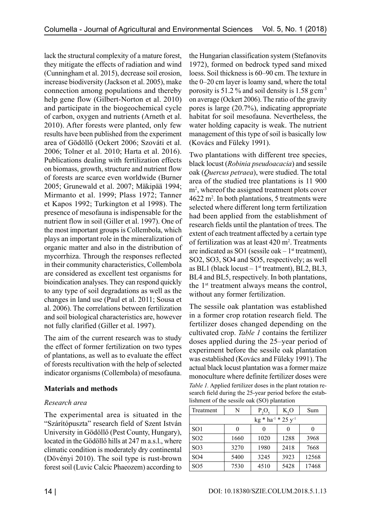lack the structural complexity of a mature forest, they mitigate the effects of radiation and wind (Cunningham et al. 2015), decrease soil erosion, increase biodiversity (Jackson et al. 2005), make connection among populations and thereby help gene flow (Gilbert-Norton et al. 2010) and participate in the biogeochemical cycle of carbon, oxygen and nutrients (Arneth et al. 2010). After forests were planted, only few results have been published from the experiment area of Gödöllő (Ockert 2006; Szováti et al. 2006; Tolner et al. 2010; Harta et al. 2016). Publications dealing with fertilization effects on biomass, growth, structure and nutrient flow of forests are scarce even worldwide (Burner 2005; Grunewald et al. 2007; Mäkipää 1994; Mirmanto et al. 1999; Plass 1972; Tanner et Kapos 1992; Turkington et al 1998). The presence of mesofauna is indispensable for the nutrient flow in soil (Giller et al. 1997). One of the most important groups is Collembola, which plays an important role in the mineralization of organic matter and also in the distribution of mycorrhiza. Through the responses reflected in their community characteristics, Collembola are considered as excellent test organisms for bioindication analyses. They can respond quickly to any type of soil degradations as well as the changes in land use (Paul et al. 2011; Sousa et al. 2006). The correlations between fertilization and soil biological characteristics are, however not fully clarified (Giller et al. 1997).

The aim of the current research was to study the effect of former fertilization on two types of plantations, as well as to evaluate the effect of forests recultivation with the help of selected indicator organisms (Collembola) of mesofauna.

# **Materials and methods**

# *Research area*

The experimental area is situated in the "Szárítópuszta" research field of Szent István University in Gödöllő (Pest County, Hungary), located in the Gödöllő hills at 247 m a.s.l., where climatic condition is moderately dry continental (Dövényi 2010). The soil type is rust-brown forest soil (Luvic Calcic Phaeozem) according to

the Hungarian classification system (Stefanovits 1972), formed on bedrock typed sand mixed loess. Soil thickness is 60–90 cm. The texture in the 0–20 cm layer is loamy sand, where the total porosity is 51.2 % and soil density is 1.58  $g \text{ cm}^3$ on average (Ockert 2006). The ratio of the gravity pores is large (20.7%), indicating appropriate habitat for soil mesofauna. Nevertheless, the water holding capacity is weak. The nutrient management of this type of soil is basically low (Kovács and Füleky 1991).

Two plantations with different tree species, black locust (*Robinia pseudoacacia*) and sessile oak (*Quercus petraea*), were studied. The total area of the studied tree plantations is 11 900 m2 , whereof the assigned treatment plots cover  $4622 \text{ m}^2$ . In both plantations, 5 treatments were selected where different long term fertilization had been applied from the establishment of research fields until the plantation of trees. The extent of each treatment affected by a certain type of fertilization was at least  $420 \text{ m}^2$ . Treatments are indicated as SO1 (sessile oak  $-1$ <sup>st</sup> treatment), SO2, SO3, SO4 and SO5, respectively; as well as BL1 (black locust  $-1$ <sup>st</sup> treatment), BL2, BL3, BL4 and BL5, respectively. In both plantations, the 1st treatment always means the control, without any former fertilization.

The sessile oak plantation was established in a former crop rotation research field. The fertilizer doses changed depending on the cultivated crop. *Table 1* contains the fertilizer doses applied during the 25–year period of experiment before the sessile oak plantation was established (Kovács and Füleky 1991). The actual black locust plantation was a former maize monoculture where definite fertilizer doses were *Table 1.* Applied fertilizer doses in the plant rotation research field during the 25-year period before the establishment of the sessile oak (SO) plantation

| Treatment            | N    | P,O, | K, O | Sum   |  |  |  |  |
|----------------------|------|------|------|-------|--|--|--|--|
| $kg * ha-1 * 25 y-1$ |      |      |      |       |  |  |  |  |
| SO <sub>1</sub>      | 0    |      |      |       |  |  |  |  |
| SO <sub>2</sub>      | 1660 | 1020 | 1288 | 3968  |  |  |  |  |
| SO <sub>3</sub>      | 3270 | 1980 | 2418 | 7668  |  |  |  |  |
| SO <sub>4</sub>      | 5400 | 3245 | 3923 | 12568 |  |  |  |  |
| SO <sub>5</sub>      | 7530 | 4510 | 5428 | 17468 |  |  |  |  |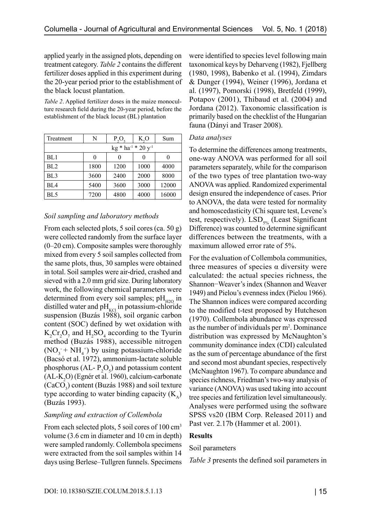applied yearly in the assigned plots, depending on treatment category. *Table 2* contains the different fertilizer doses applied in this experiment during the 20-year period prior to the establishment of the black locust plantation.

*Table 2*. Applied fertilizer doses in the maize monoculture research field during the 20-year period, before the establishment of the black locust (BL) plantation

| Treatment                  | N    | $P_2O_5$ | K, O | Sum   |  |  |  |  |
|----------------------------|------|----------|------|-------|--|--|--|--|
| $kg * ha^{-1} * 20 y^{-1}$ |      |          |      |       |  |  |  |  |
| BL1                        |      |          | 0    |       |  |  |  |  |
| BL <sub>2</sub>            | 1800 | 1200     | 1000 | 4000  |  |  |  |  |
| BL <sub>3</sub>            | 3600 | 2400     | 2000 | 8000  |  |  |  |  |
| BL <sub>4</sub>            | 5400 | 3600     | 3000 | 12000 |  |  |  |  |
| BL5                        | 7200 | 4800     | 4000 | 16000 |  |  |  |  |

### *Soil sampling and laboratory methods*

From each selected plots, 5 soil cores (ca. 50 g) were collected randomly from the surface layer (0–20 cm). Composite samples were thoroughly mixed from every 5 soil samples collected from the same plots, thus, 30 samples were obtained in total. Soil samples were air-dried, crashed and sieved with a 2.0 mm grid size. During laboratory work, the following chemical parameters were determined from every soil samples;  $pH_{H2O}$  in distilled water and  $pH_{\text{KCl}}$  in potassium-chloride suspension (Buzás 1988), soil organic carbon content (SOC) defined by wet oxidation with  $K_2$ Cr<sub>2</sub>O<sub>7</sub> and H<sub>2</sub>SO<sub>4</sub> according to the Tyurin method (Buzás 1988), accessible nitrogen  $(NO<sub>3</sub> + NH<sub>4</sub>$ <sup>+</sup>) by using potassium-chloride (Bacsó et al. 1972), ammonium-lactate soluble phosphorus (AL- $P_2O_5$ ) and potassium content  $(AL-K<sub>2</sub>O)$  (Egnér et al. 1960), calcium-carbonate  $(CaCO<sub>3</sub>)$  content (Buzás 1988) and soil texture type according to water binding capacity  $(K_4)$ (Buzás 1993).

### *Sampling and extraction of Collembola*

From each selected plots, 5 soil cores of 100 cm<sup>3</sup> volume (3.6 cm in diameter and 10 cm in depth) were sampled randomly. Collembola specimens were extracted from the soil samples within 14 days using Berlese–Tullgren funnels. Specimens were identified to species level following main taxonomical keys by Deharveng (1982), Fjellberg (1980, 1998), Babenko et al. (1994), Zimdars & Dunger (1994), Weiner (1996), Jordana et al. (1997), Pomorski (1998), Bretfeld (1999), Potapov (2001), Thibaud et al. (2004) and Jordana (2012). Taxonomic classification is primarily based on the checklist of the Hungarian fauna (Dányi and Traser 2008).

### *Data analyses*

To determine the differences among treatments, one-way ANOVA was performed for all soil parameters separately, while for the comparison of the two types of tree plantation two-way ANOVA was applied. Randomized experimental design ensured the independence of cases. Prior to ANOVA, the data were tested for normality and homoscedasticity (Chi square test, Levene's test, respectively).  $LSD_{5\%}$  (Least Significant Difference) was counted to determine significant differences between the treatments, with a maximum allowed error rate of 5%.

For the evaluation of Collembola communities, three measures of species  $α$  diversity were calculated: the actual species richness, the Shannon−Weaver's index (Shannon and Weaver 1949) and Pielou's evenness index (Pielou 1966). The Shannon indices were compared according to the modified t-test proposed by Hutcheson (1970). Collembola abundance was expressed as the number of individuals per  $m<sup>2</sup>$ . Dominance distribution was expressed by McNaughton's community dominance index (CDI) calculated as the sum of percentage abundance of the first and second most abundant species, respectively (McNaughton 1967). To compare abundance and species richness, Friedman's two-way analysis of variance (ANOVA) was used taking into account tree species and fertilization level simultaneously. Analyses were performed using the software SPSS vs20 (IBM Corp. Released 2011) and Past ver. 2.17b (Hammer et al. 2001).

## **Results**

### Soil parameters

*Table 3* presents the defined soil parameters in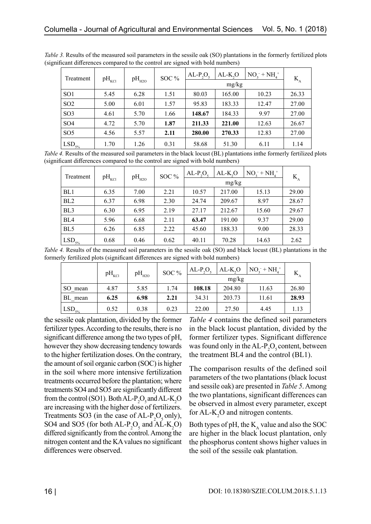| Treatment       | $pH_{\text{KCl}}$ | $pH_{H2O}$ | SOC % | $AL-P, O,$ | $AL-K, O$<br>mg/kg | $NO_3^- + NH_4^+$ | $K_{A}$ |
|-----------------|-------------------|------------|-------|------------|--------------------|-------------------|---------|
| SO <sub>1</sub> | 5.45              | 6.28       | 1.51  | 80.03      | 165.00             | 10.23             | 26.33   |
| SO <sub>2</sub> | 5.00              | 6.01       | 1.57  | 95.83      | 183.33             | 12.47             | 27.00   |
| SO <sub>3</sub> | 4.61              | 5.70       | 1.66  | 148.67     | 184.33             | 9.97              | 27.00   |
| SO <sub>4</sub> | 4.72              | 5.70       | 1.87  | 211.33     | 221.00             | 12.63             | 26.67   |
| SO <sub>5</sub> | 4.56              | 5.57       | 2.11  | 280.00     | 270.33             | 12.83             | 27.00   |
| $LSD_{5\%}$     | 1.70              | 1.26       | 0.31  | 58.68      | 51.30              | 6.11              | 1.14    |

*Table 3.* Results of the measured soil parameters in the sessile oak (SO) plantations in the formerly fertilized plots (significant differences compared to the control are signed with bold numbers)

*Table 4.* Results of the measured soil parameters in the black locust (BL) plantations inthe formerly fertilized plots (significant differences compared to the control are signed with bold numbers)

| Treatment         | $pH_{\text{KCl}}$ | $pH_{H2O}$ | SOC % | $AL-P_2O_5$ | $AL-K2O$ | $NO_2^- + NH_4^+$ | $K_{A}$ |  |  |
|-------------------|-------------------|------------|-------|-------------|----------|-------------------|---------|--|--|
|                   |                   |            |       |             | mg/kg    |                   |         |  |  |
| BL1               | 6.35              | 7.00       | 2.21  | 10.57       | 217.00   | 15.13             | 29.00   |  |  |
| BL <sub>2</sub>   | 6.37              | 6.98       | 2.30  | 24.74       | 209.67   | 8.97              | 28.67   |  |  |
| BL <sub>3</sub>   | 6.30              | 6.95       | 2.19  | 27.17       | 212.67   | 15.60             | 29.67   |  |  |
| BL <sub>4</sub>   | 5.96              | 6.68       | 2.11  | 63.47       | 191.00   | 9.37              | 29.00   |  |  |
| BL <sub>5</sub>   | 6.26              | 6.85       | 2.22  | 45.60       | 188.33   | 9.00              | 28.33   |  |  |
| LSD <sub>5%</sub> | 0.68              | 0.46       | 0.62  | 40.11       | 70.28    | 14.63             | 2.62    |  |  |

*Table 4.* Results of the measured soil parameters in the sessile oak (SO) and black locust (BL) plantations in the formerly fertilized plots (significant differences are signed with bold numbers)

|                       | $pH_{\text{KCl}}$ | $pH_{H2O}$ | SOC % | $AL-P2O5$ | $AL-K2O$<br>mg/kg | $NO_{2}^+ + NH_{4}^+$ |       |
|-----------------------|-------------------|------------|-------|-----------|-------------------|-----------------------|-------|
|                       |                   |            |       |           |                   |                       |       |
| SO mean               | 4.87              | 5.85       | 1.74  | 108.18    | 204.80            | 11.63                 | 26.80 |
| BL mean               | 6.25              | 6.98       | 2.21  | 34.31     | 203.73            | 11.61                 | 28.93 |
| $'$ LSD <sub>5%</sub> | 0.52              | 0.38       | 0.23  | 22.00     | 27.50             | 4.45                  | 1.13  |

the sessile oak plantation, divided by the former fertilizer types. According to the results, there is no significant difference among the two types of pH, however they show decreasing tendency towards to the higher fertilization doses. On the contrary, the amount of soil organic carbon (SOC) is higher in the soil where more intensive fertilization treatments occurred before the plantation; where treatments SO4 and SO5 are significantly different from the control (SO1). Both AL- $P_2O_5$  and AL- $K_2O$ are increasing with the higher dose of fertilizers. Treatments SO3 (in the case of  $AL-P_2O_5$  only), SO4 and SO5 (for both  $AL-P_2O_5$  and  $AL-K_2O$ ) differed significantly from the control. Among the nitrogen content and the KA values no significant differences were observed.

*Table 4* contains the defined soil parameters in the black locust plantation, divided by the former fertilizer types. Significant difference was found only in the  $AL-P_2O_5$  content, between the treatment BL4 and the control (BL1).

The comparison results of the defined soil parameters of the two plantations (black locust and sessile oak) are presented in *Table 5*. Among the two plantations, significant differences can be observed in almost every parameter, except for  $AL-K_2O$  and nitrogen contents.

Both types of pH, the  $K_A$  value and also the SOC are higher in the black locust plantation, only the phosphorus content shows higher values in the soil of the sessile oak plantation.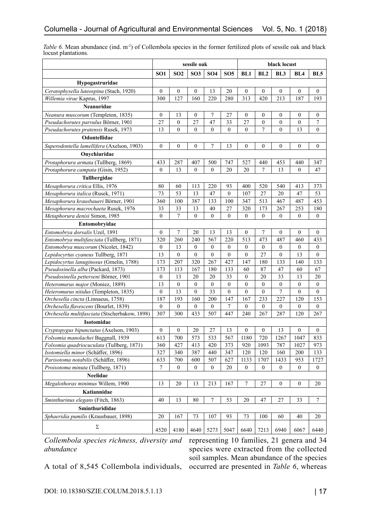|                                               | sessile oak      |                  |                  |                  | black locust     |                  |                  |                  |                  |                  |
|-----------------------------------------------|------------------|------------------|------------------|------------------|------------------|------------------|------------------|------------------|------------------|------------------|
|                                               | SO <sub>1</sub>  | SO <sub>2</sub>  | SO <sub>3</sub>  | SO <sub>4</sub>  | SO <sub>5</sub>  | BL1              | BL2              | BL <sub>3</sub>  | BL <sub>4</sub>  | BL5              |
| Hypogastruridae                               |                  |                  |                  |                  |                  |                  |                  |                  |                  |                  |
| Ceratophysella luteospina (Stach, 1920)       | $\mathbf{0}$     | $\boldsymbol{0}$ | $\boldsymbol{0}$ | 13               | 20               | $\overline{0}$   | $\mathbf{0}$     | $\boldsymbol{0}$ | $\mathbf{0}$     | $\boldsymbol{0}$ |
| Willemia virae Kaprus, 1997                   | 300              | 127              | 160              | 220              | 280              | 313              | 420              | 213              | 187              | 193              |
| Neanuridae                                    |                  |                  |                  |                  |                  |                  |                  |                  |                  |                  |
| Neanura muscorum (Templeton, 1835)            | $\boldsymbol{0}$ | 13               | 0                | 7                | 27               | $\mathbf{0}$     | $\mathbf{0}$     | $\boldsymbol{0}$ | $\theta$         | 0                |
| Pseudachorutes parvulus Börner, 1901          | 27               | $\boldsymbol{0}$ | 27               | 47               | 33               | 27               | $\boldsymbol{0}$ | $\mathbf{0}$     | $\boldsymbol{0}$ | 7                |
| Pseudachorutes pratensis Rusek, 1973          | 13               | $\mathbf{0}$     | 0                | $\mathbf{0}$     | $\mathbf{0}$     | $\mathbf{0}$     | 7                | $\mathbf{0}$     | 13               | $\overline{0}$   |
| Odontellidae                                  |                  |                  |                  |                  |                  |                  |                  |                  |                  |                  |
| Superodontella lamellifera (Axelson, 1903)    | $\mathbf{0}$     | $\overline{0}$   | $\mathbf{0}$     | 7                | 13               | 0                | $\boldsymbol{0}$ | $\mathbf{0}$     | $\mathbf{0}$     | $\boldsymbol{0}$ |
| Onychiuridae                                  |                  |                  |                  |                  |                  |                  |                  |                  |                  |                  |
| Protaphorura armata (Tullberg, 1869)          | 433              | 287              | 407              | 500              | 747              | 527              | 440              | 453              | 440              | 347              |
| Protaphorura campata (Gisin, 1952)            | $\boldsymbol{0}$ | 13               | $\boldsymbol{0}$ | $\boldsymbol{0}$ | 20               | 20               | 7                | 13               | $\boldsymbol{0}$ | 47               |
| Tullbergidae                                  |                  |                  |                  |                  |                  |                  |                  |                  |                  |                  |
| Mesaphorura critica Ellis, 1976               | 80               | 60               | 113              | 220              | 93               | 400              | 520              | 540              | 413              | 373              |
| Mesaphorura italica (Rusek, 1971)             | 73               | 53               | 13               | 47               | $\mathbf{0}$     | 107              | 27               | 20               | 47               | 53               |
| Mesaphorura krausbaueri Börner, 1901          | 360              | 100              | 387              | 133              | 100              | 347              | 513              | 467              | 487              | 453              |
| Mesaphorura macrochaeta Rusek, 1976           | 33               | 33               | 13               | 40               | 27               | 320              | 173              | 267              | 253              | 180              |
| Metaphorura denisi Simon, 1985                | $\boldsymbol{0}$ | 7                | 0                | $\mathbf{0}$     | $\mathbf{0}$     | $\mathbf{0}$     | $\mathbf{0}$     | $\mathbf{0}$     | $\mathbf{0}$     | 0                |
| Entomobryidae                                 |                  |                  |                  |                  |                  |                  |                  |                  |                  |                  |
| Entomobrya dorsalis Uzel, 1891                | $\boldsymbol{0}$ | $\tau$           | 20               | 13               | 13               | $\boldsymbol{0}$ | 7                | $\boldsymbol{0}$ | $\mathbf{0}$     | 0                |
| Entomobrya multifasciata (Tullberg, 1871)     | 320              | 260              | 240              | 567              | 220              | 513              | 473              | 487              | 460              | 433              |
| Entomobrya muscorum (Nicolet, 1842)           | $\boldsymbol{0}$ | 13               | 0                | $\boldsymbol{0}$ | 0                | $\mathbf{0}$     | $\boldsymbol{0}$ | $\boldsymbol{0}$ | $\boldsymbol{0}$ | 0                |
| Lepidocyrtus cyaneus Tullberg, 1871           | 13               | $\mathbf{0}$     | $\mathbf{0}$     | $\mathbf{0}$     | $\mathbf{0}$     | $\overline{0}$   | 27               | $\mathbf{0}$     | 13               | $\overline{0}$   |
| Lepidocyrtus lanuginosus (Gmelin, 1788)       | 173              | 207              | 320              | 267              | 427              | 147              | 180              | 133              | 140              | 133              |
| Pseudosinella alba (Packard, 1873)            | 173              | 113              | 167              | 180              | 133              | 60               | 87               | 47               | 60               | 67               |
| Pseudosinella petterseni Börner, 1901         | $\boldsymbol{0}$ | 13               | 20               | 20               | 33               | $\mathbf{0}$     | 20               | 33               | 13               | 20               |
| Heteromurus major (Moniez, 1889)              | 13               | $\boldsymbol{0}$ | $\boldsymbol{0}$ | $\boldsymbol{0}$ | $\boldsymbol{0}$ | $\mathbf{0}$     | $\boldsymbol{0}$ | $\boldsymbol{0}$ | $\boldsymbol{0}$ | $\boldsymbol{0}$ |
| Heteromurus nitidus (Templeton, 1835)         | $\boldsymbol{0}$ | 13               | $\boldsymbol{0}$ | 33               | $\boldsymbol{0}$ | $\overline{0}$   | $\boldsymbol{0}$ | 7                | $\mathbf{0}$     | $\overline{0}$   |
| Orchesella cincta (Linnaeus, 1758)            | 187              | 193              | 160              | 200              | 147              | 167              | 233              | 227              | 120              | 153              |
| Orchesella flavescens (Bourlet, 1839)         | $\boldsymbol{0}$ | $\boldsymbol{0}$ | 0                | $\boldsymbol{0}$ | 7                | $\boldsymbol{0}$ | $\boldsymbol{0}$ | $\boldsymbol{0}$ | $\boldsymbol{0}$ | $\boldsymbol{0}$ |
| Orchesella multifasciata (Stscherbakow, 1898) | 307              | 300              | 433              | 507              | 447              | 240              | 267              | 287              | 120              | 267              |
| Isotomidae                                    |                  |                  |                  |                  |                  |                  |                  |                  |                  |                  |
| Cryptopygus bipunctatus (Axelson, 1903)       | $\boldsymbol{0}$ | $\boldsymbol{0}$ | 20               | 27               | 13               | 0                | $\boldsymbol{0}$ | 13               | $\boldsymbol{0}$ | 0                |
| Folsomia manolachei Baggnall, 1939            | 613              | 700              | 573              | 533              | 567              | 1180             | 720              | 1267             | 1047             | 833              |
| Folsomia quadriocuculata (Tullberg, 1871)     | 360              | 427              | 413              | 420              | 373              | 920              | 1093             | 787              | 1027             | 973              |
| Isotomiella minor (Schäffer, 1896)            | 327              | 340              | 387              | 440              | 347              | 120              | 120              | 160              | 200              | 133              |
| Parisotoma notabilis (Schäffer, 1896)         | 633              | 700              | 600              | 507              | 627              | 1133             | 1707             | 1433             | 953              | 1727             |
| Proisotoma minuta (Tullberg, 1871)            | $\tau$           | $\boldsymbol{0}$ | $\boldsymbol{0}$ | $\boldsymbol{0}$ | 20               | $\boldsymbol{0}$ | $\boldsymbol{0}$ | $\boldsymbol{0}$ | $\overline{0}$   | $\boldsymbol{0}$ |
| Neelidae                                      |                  |                  |                  |                  |                  |                  |                  |                  |                  |                  |
| Megalothorax minimus Willem, 1900             |                  | 20               | 13               | 213              | 167              | 7                | 27               | $\mathbf{0}$     | $\boldsymbol{0}$ | 20               |
| Katiannidae                                   |                  |                  |                  |                  |                  |                  |                  |                  |                  |                  |
| Sminthurinus elegans (Fitch, 1863)            | 40               | 13               | 80               | 7                | 53               | 20               | 47               | $27\,$           | 33               | $\boldsymbol{7}$ |
| Sminthurididae                                |                  |                  |                  |                  |                  |                  |                  |                  |                  |                  |
| Sphaeridia pumilis (Krausbauer, 1898)         | 20               | 167              | 73               | 107              | 93               | 73               | 100              | 60               | 40               | 20               |
| $\Sigma$                                      | 4520             | 4180             | 4640             | 5273             | 5047             | 6640             | 7213             | 6940             | 6067             | 6440             |

*Table 6.* Mean abundance (ind. m<sup>-2</sup>) of Collembola species in the former fertilized plots of sessile oak and black locust plantations.

*abundance*

*Collembola species richness, diversity and*  representing 10 families, 21 genera and 34 species were extracted from the collected soil samples. Mean abundance of the species occurred are presented in *Table 6*, whereas

A total of 8,545 Collembola individuals,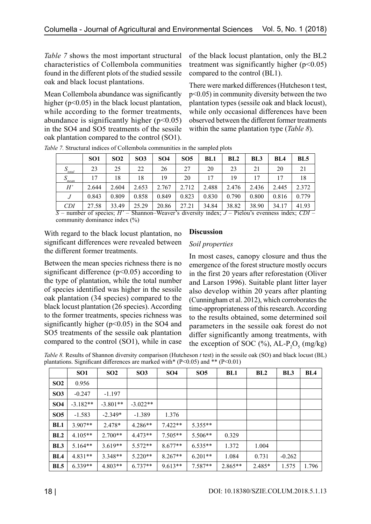*Table 7* shows the most important structural characteristics of Collembola communities found in the different plots of the studied sessile oak and black locust plantations.

Mean Collembola abundance was significantly higher (p<0.05) in the black locust plantation, while according to the former treatments, abundance is significantly higher  $(p<0.05)$ in the SO4 and SO5 treatments of the sessile oak plantation compared to the control (SO1).

of the black locust plantation, only the BL2 treatment was significantly higher  $(p<0.05)$ compared to the control (BL1).

There were marked differences (Hutcheson t test, p<0.05) in community diversity between the two plantation types (sessile oak and black locust), while only occasional differences have been observed between the different former treatments within the same plantation type (*Table 8*).

|                         | SO <sub>1</sub> | SO <sub>2</sub> | SO <sub>3</sub> | SO <sub>4</sub> | SO <sub>5</sub> | BL1   | BL2          | BL3   | BL <sub>4</sub> | BL5          |
|-------------------------|-----------------|-----------------|-----------------|-----------------|-----------------|-------|--------------|-------|-----------------|--------------|
| $S_{\underline{total}}$ | 23              | 25              | 22              | 26              | 27              | 20    | 23           | 21    | 20              | 21           |
| S<br>mean               | 17              | 18              | 18              | 19              | 20              | 17    | 19           |       |                 | 18           |
| H'                      | 2.644           | 2.604           | 2.653           | 2.767           | 2.712           | 2.488 | 2.476        | 2.436 | 2.445           | 2.372        |
|                         | 0.843           | 0.809           | 0.858           | 0.849           | 0.823           | 0.830 | 0.790        | 0.800 | 0.816           | 0.779        |
| <i>CDI</i>              | 27.58           | 33.49<br>---    | 25.29<br>---    | 20.86<br>---    | 27.21<br>--     | 34.84 | 38.82<br>___ | 38.90 | 34.17           | 41.93<br>___ |

*Table 7.* Structural indices of Collembola communities in the sampled plots

*S* – number of species; *H'* – Shannon–Weaver's diversity index; *J* – Pielou's evenness index; *CDI* – community dominance index (%)

With regard to the black locust plantation, no significant differences were revealed between the different former treatments.

### **Discussion**

#### *Soil properties*

Between the mean species richness there is no significant difference ( $p$ <0.05) according to the type of plantation, while the total number of species identified was higher in the sessile oak plantation (34 species) compared to the black locust plantation (26 species). According to the former treatments, species richness was significantly higher ( $p$ <0.05) in the SO4 and SO5 treatments of the sessile oak plantation compared to the control (SO1), while in case

In most cases, canopy closure and thus the emergence of the forest structure mostly occurs in the first 20 years after reforestation (Oliver and Larson 1996). Suitable plant litter layer also develop within 20 years after planting (Cunningham et al. 2012), which corroborates the time-appropriateness of this research. According to the results obtained, some determined soil parameters in the sessile oak forest do not differ significantly among treatments, with the exception of SOC  $(\%)$ , AL-P<sub>2</sub>O<sub>5</sub> (mg/kg)

*Table 8.* Results of Shannon diversity comparison (Hutcheson *t* test) in the sessile oak (SO) and black locust (BL) plantations. Significant differences are marked with\* (P<0.05) and \*\* (P<0.01)

|                 | SO <sub>1</sub> | SO <sub>2</sub> | SO <sub>3</sub> | <b>SO4</b> | SO <sub>5</sub> | <b>BL1</b> | BL2      | BL <sub>3</sub> | BL4   |
|-----------------|-----------------|-----------------|-----------------|------------|-----------------|------------|----------|-----------------|-------|
| SO <sub>2</sub> | 0.956           |                 |                 |            |                 |            |          |                 |       |
| SO <sub>3</sub> | $-0.247$        | $-1.197$        |                 |            |                 |            |          |                 |       |
| SO <sub>4</sub> | $-3.182**$      | $-3.801**$      | $-3.022**$      |            |                 |            |          |                 |       |
| SO <sub>5</sub> | $-1.583$        | $-2.349*$       | $-1.389$        | 1.376      |                 |            |          |                 |       |
| BL1             | $3.907**$       | 2.478*          | $4.286**$       | $7.422**$  | $5.355**$       |            |          |                 |       |
| BL2             | $4.105**$       | $2.700**$       | $4.473**$       | $7.505**$  | 5.506**         | 0.329      |          |                 |       |
| BL <sub>3</sub> | $5.164**$       | $3.619**$       | $5.572**$       | $8.677**$  | $6.535**$       | 1.372      | 1.004    |                 |       |
| BLA             | $4.831**$       | $3.348**$       | $5.220**$       | $8.267**$  | $6.201**$       | 1.084      | 0.731    | $-0.262$        |       |
| BL <sub>5</sub> | $6.339**$       | $4.803**$       | $6.737**$       | $9.613**$  | 7.587**         | $2.865**$  | $2.485*$ | 1.575           | 1.796 |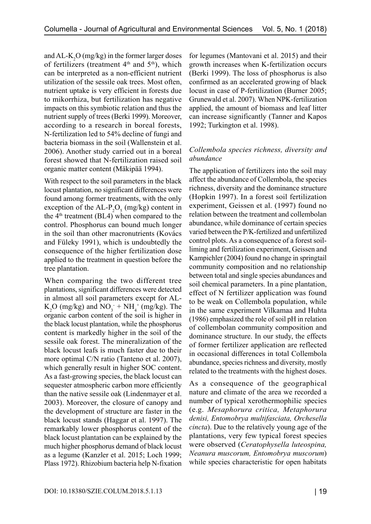and  $AL-K_2O$  (mg/kg) in the former larger doses of fertilizers (treatment  $4<sup>th</sup>$  and  $5<sup>th</sup>$ ), which can be interpreted as a non-efficient nutrient utilization of the sessile oak trees. Most often, nutrient uptake is very efficient in forests due to mikorrhiza, but fertilization has negative impacts on this symbiotic relation and thus the nutrient supply of trees (Berki 1999). Moreover, according to a research in boreal forests, N-fertilization led to 54% decline of fungi and bacteria biomass in the soil (Wallenstein et al. 2006). Another study carried out in a boreal forest showed that N-fertilization raised soil organic matter content (Mäkipää 1994).

With respect to the soil parameters in the black locust plantation, no significant differences were found among former treatments, with the only exception of the AL- $P_2O_5$  (mg/kg) content in the  $4<sup>th</sup>$  treatment (BL4) when compared to the control. Phosphorus can bound much longer in the soil than other macronutrients (Kovács and Füleky 1991), which is undoubtedly the consequence of the higher fertilization dose applied to the treatment in question before the tree plantation.

When comparing the two different tree plantations, significant differences were detected in almost all soil parameters except for AL- $K_2O$  (mg/kg) and  $NO_3^- + NH_4^+$  (mg/kg). The organic carbon content of the soil is higher in the black locust plantation, while the phosphorus content is markedly higher in the soil of the sessile oak forest. The mineralization of the black locust leafs is much faster due to their more optimal C/N ratio (Tanteno et al. 2007), which generally result in higher SOC content. As a fast-growing species, the black locust can sequester atmospheric carbon more efficiently than the native sessile oak (Lindenmayer et al. 2003). Moreover, the closure of canopy and the development of structure are faster in the black locust stands (Haggar et al. 1997). The remarkably lower phosphorus content of the black locust plantation can be explained by the much higher phosphorus demand of black locust as a legume (Kanzler et al. 2015; Loch 1999; Plass 1972). Rhizobium bacteria help N-fixation

for legumes (Mantovani et al. 2015) and their growth increases when K-fertilization occurs (Berki 1999). The loss of phosphorus is also confirmed as an accelerated growing of black locust in case of P-fertilization (Burner 2005; Grunewald et al. 2007). When NPK-fertilization applied, the amount of biomass and leaf litter can increase significantly (Tanner and Kapos 1992; Turkington et al. 1998).

## *Collembola species richness, diversity and abundance*

The application of fertilizers into the soil may affect the abundance of Collembola, the species richness, diversity and the dominance structure (Hopkin 1997). In a forest soil fertilization experiment, Geissen et al. (1997) found no relation between the treatment and collembolan abundance, while dominance of certain species varied between the P/K-fertilized and unfertilized control plots. As a consequence of a forest soilliming and fertilization experiment, Geissen and Kampichler (2004) found no change in springtail community composition and no relationship between total and single species abundances and soil chemical parameters. In a pine plantation, effect of N fertilizer application was found to be weak on Collembola population, while in the same experiment Vilkamaa and Huhta (1986) emphasized the role of soil pH in relation of collembolan community composition and dominance structure. In our study, the effects of former fertilizer application are reflected in occasional differences in total Collembola abundance, species richness and diversity, mostly related to the treatments with the highest doses.

As a consequence of the geographical nature and climate of the area we recorded a number of typical xerothermophilic species (e.g. *Mesaphorura critica, Metaphorura denisi, Entomobrya multifasciata, Orchesella cincta*). Due to the relatively young age of the plantations, very few typical forest species were observed (*Ceratophysella luteospina, Neanura muscorum, Entomobrya muscorum*) while species characteristic for open habitats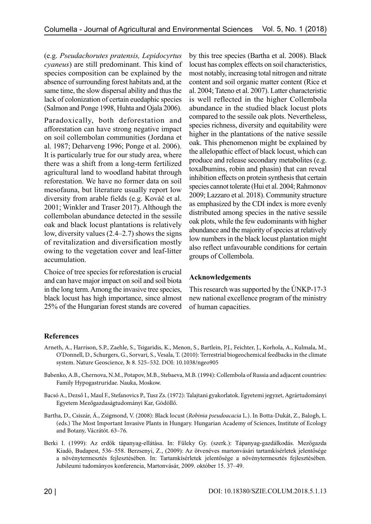(e.g. *Pseudachorutes pratensis, Lepidocyrtus cyaneus*) are still predominant. This kind of species composition can be explained by the absence of surrounding forest habitats and, at the same time, the slow dispersal ability and thus the lack of colonization of certain euedaphic species (Salmon and Ponge 1998, Huhta and Ojala 2006).

Paradoxically, both deforestation and afforestation can have strong negative impact on soil collembolan communities (Jordana et al. 1987; Deharveng 1996; Ponge et al. 2006). It is particularly true for our study area, where there was a shift from a long-term fertilized agricultural land to woodland habitat through reforestation. We have no former data on soil mesofauna, but literature usually report low diversity from arable fields (e.g. Kováč et al. 2001; Winkler and Traser 2017). Although the collembolan abundance detected in the sessile oak and black locust plantations is relatively low, diversity values (2.4–2.7) shows the signs of revitalization and diversification mostly owing to the vegetation cover and leaf-litter accumulation.

Choice of tree species for reforestation is crucial and can have major impact on soil and soil biota in the long term. Among the invasive tree species, black locust has high importance, since almost 25% of the Hungarian forest stands are covered by this tree species (Bartha et al. 2008). Black locust has complex effects on soil characteristics, most notably, increasing total nitrogen and nitrate content and soil organic matter content (Rice et al. 2004; Tateno et al. 2007). Latter characteristic is well reflected in the higher Collembola abundance in the studied black locust plots compared to the sessile oak plots. Nevertheless, species richness, diversity and equitability were higher in the plantations of the native sessile oak. This phenomenon might be explained by the allelopathic effect of black locust, which can produce and release secondary metabolites (e.g. toxalbumins, robin and phasin) that can reveal inhibition effects on protein synthesis that certain species cannot tolerate (Hui et al. 2004; Rahmonov 2009; Lazzaro et al. 2018). Community structure as emphasized by the CDI index is more evenly distributed among species in the native sessile oak plots, while the few eudominants with higher abundance and the majority of species at relatively low numbers in the black locust plantation might also reflect unfavourable conditions for certain groups of Collembola.

## **Acknowledgements**

This research was supported by the ÚNKP-17-3 new national excellence program of the ministry of human capacities.

# **References**

- Arneth, A., Harrison, S.P., Zaehle, S., Tsigaridis, K., Menon, S., Bartlein, P.J., Feichter, J., Korhola, A., Kulmala, M., O'Donnell, D., Schurgers, G., Sorvari, S., Vesala, T. (2010): Terrestrial biogeochemical feedbacks in the climate system. Nature Geoscience, **3:** 8. 525–532. DOI: 10.1038/ngeo905
- Babenko, A.B., Chernova, N.M., Potapov, M.B., Stebaeva, M.B. (1994): Collembola of Russia and adjacent countries: Family Hypogastruridae. Nauka, Moskow.
- Bacsó A., Dezső I., Maul F., Stefanovics P., Tusz Zs. (1972): Talajtani gyakorlatok. Egyetemi jegyzet, Agrártudományi Egyetem Mezőgazdaságtudományi Kar, Gödöllő.
- Bartha, D., Csiszár, Á., Zsigmond, V. (2008): Black locust (*Robinia pseudoacacia* L.). In Botta-Dukát, Z., Balogh, L. (eds.) The Most Important Invasive Plants in Hungary. Hungarian Academy of Sciences, Institute of Ecology and Botany, Vácrátót. 63–76.
- Berki I. (1999): Az erdők tápanyag-ellátása. In: Füleky Gy. (szerk.): Tápanyag-gazdálkodás. Mezőgazda Kiadó, Budapest, 536–558. Berzsenyi, Z., (2009): Az ötvenéves martonvásári tartamkísérletek jelentősége a növénytermesztés fejlesztésében. In: Tartamkísérletek jelentősége a növénytermesztés fejlesztésében. Jubileumi tudományos konferencia, Martonvásár, 2009. október 15. 37–49.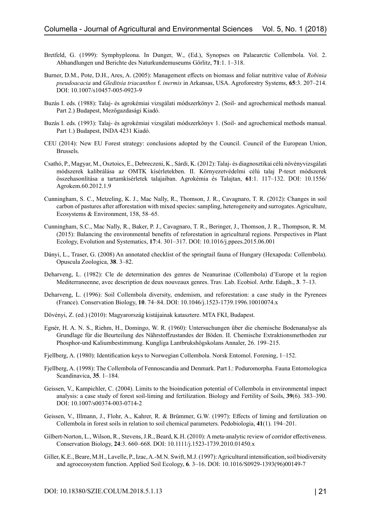- Bretfeld, G. (1999): Symphypleona. In Dunger, W., (Ed.), Synopses on Palaearctic Collembola. Vol. 2. Abhandlungen und Berichte des Naturkundemuseums Görlitz, **71**:1. 1–318.
- Burner, D.M., Pote, D.H., Ares, A. (2005): Management effects on biomass and foliar nutritive value of *Robinia pseudoacacia* and *Gleditsia triacanthos* f. *inermis* in Arkansas, USA. Agroforestry Systems, **65**:3. 207–214. DOI: 10.1007/s10457-005-0923-9
- Buzás I. eds. (1988): Talaj- és agrokémiai vizsgálati módszerkönyv 2. (Soil- and agrochemical methods manual. Part 2.) Budapest, Mezőgazdasági Kiadó.
- Buzás I. eds. (1993): Talaj- és agrokémiai vizsgálati módszerkönyv 1. (Soil- and agrochemical methods manual. Part 1.) Budapest, INDA 4231 Kiadó.
- CEU (2014): New EU Forest strategy: conclusions adopted by the Council. Council of the European Union, Brussels.
- Csathó, P., Magyar, M., Osztoics, E., Debreczeni, K., Sárdi, K. (2012): Talaj- és diagnosztikai célú növényvizsgálati módszerek kalibrálása az OMTK kísérletekben. II. Környezetvédelmi célú talaj P-teszt módszerek összehasonlítása a tartamkísérletek talajaiban. Agrokémia és Talajtan, **61**:1. 117–132. DOI: 10.1556/ Agrokem.60.2012.1.9
- Cunningham, S. C., Metzeling, K. J., Mac Nally, R., Thomson, J. R., Cavagnaro, T. R. (2012): Changes in soil carbon of pastures after afforestation with mixed species: sampling, heterogeneity and surrogates. Agriculture, Ecosystems & Environment, 158, 58–65.
- Cunningham, S.C., Mac Nally, R., Baker, P. J., Cavagnaro, T. R., Beringer, J., Thomson, J. R., Thompson, R. M. (2015): Balancing the environmental benefits of reforestation in agricultural regions. Perspectives in Plant Ecology, Evolution and Systematics, **17**:4. 301–317. DOI: 10.1016/j.ppees.2015.06.001
- Dányi, L., Traser, G. (2008) An annotated checklist of the springtail fauna of Hungary (Hexapoda: Collembola). Opuscula Zoologica, **38**. 3–82.
- Deharveng, L. (1982): Cle de determination des genres de Neanurinae (Collembola) d'Europe et la region Mediterraneenne, avec description de deux nouveaux genres. Trav. Lab. Ecobiol. Arthr. Edaph., **3**. 7–13.
- Deharveng, L. (1996): Soil Collembola diversity, endemism, and reforestation: a case study in the Pyrenees (France). Conservation Biology, **10**. 74–84. DOI: 10.1046/j.1523-1739.1996.10010074.x
- Dövényi, Z. (ed.) (2010): Magyarország kistájainak katasztere. MTA FKI, Budapest.
- Egnér, H. A. N. S., Riehm, H., Domingo, W. R. (1960): Untersuchungen über die chemische Bodenanalyse als Grundlage für die Beurteilung des Nährstoffzustandes der Böden. II. Chemische Extraktionsmethoden zur Phosphor-und Kaliumbestimmung. Kungliga Lantbrukshögskolans Annaler, 26. 199–215.
- Fjellberg, A. (1980): Identification keys to Norwegian Collembola. Norsk Entomol. Forening, 1–152.
- Fjellberg, A. (1998): The Collembola of Fennoscandia and Denmark. Part I.: Poduromorpha. Fauna Entomologica Scandinavica, **35**. 1–184.
- Geissen, V., Kampichler, C. (2004). Limits to the bioindication potential of Collembola in environmental impact analysis: a case study of forest soil-liming and fertilization. Biology and Fertility of Soils, **39**(6). 383–390. DOI: 10.1007/s00374-003-0714-2
- Geissen, V., Illmann, J., Flohr, A., Kahrer, R. & Brümmer, G.W. (1997): Effects of liming and fertilization on Collembola in forest soils in relation to soil chemical parameters. Pedobiologia, **41**(1). 194–201.
- Gilbert-Norton, L., Wilson, R., Stevens, J.R., Beard, K.H. (2010): A meta-analytic review of corridor effectiveness. Conservation Biology, **24**:3. 660–668. DOI: 10.1111/j.1523-1739.2010.01450.x
- Giller, K.E., Beare, M.H., Lavelle, P., Izac, A.-M.N. Swift, M.J. (1997): Agricultural intensification, soil biodiversity and agroecosystem function. Applied Soil Ecology, **6**. 3–16. DOI: 10.1016/S0929-1393(96)00149-7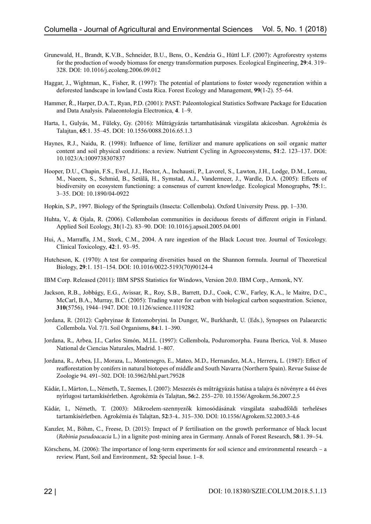- Grunewald, H., Brandt, K.V.B., Schneider, B.U., Bens, O., Kendzia G., Hüttl L.F. (2007): Agroforestry systems for the production of woody biomass for energy transformation purposes. Ecological Engineering, **29**:4. 319– 328. DOI: 10.1016/j.ecoleng.2006.09.012
- Haggar, J., Wightman, K., Fisher, R. (1997): The potential of plantations to foster woody regeneration within a deforested landscape in lowland Costa Rica. Forest Ecology and Management, **99**(1-2). 55–64.
- Hammer, Ř., Harper, D.A.T., Ryan, P.D. (2001): PAST: Paleontological Statistics Software Package for Education and Data Analysis. Palaeontologia Electronica, **4**. 1–9.
- Harta, I., Gulyás, M., Füleky, Gy. (2016): Műtrágyázás tartamhatásának vizsgálata akácosban. Agrokémia és Talajtan, **65**:1. 35–45. DOI: 10.1556/0088.2016.65.1.3
- Haynes, R.J., Naidu, R. (1998): Influence of lime, fertilizer and manure applications on soil organic matter content and soil physical conditions: a review. Nutrient Cycling in Agroecosystems, **51**:2. 123–137. DOI: 10.1023/A:1009738307837
- Hooper, D.U., Chapin, F.S., Ewel, J.J., Hector, A., Inchausti, P., Lavorel, S., Lawton, J.H., Lodge, D.M., Loreau, M., Naeem, S., Schmid, B., Setälä, H., Symstad, A.J., Vandermeer, J., Wardle, D.A. (2005): Effects of biodiversity on ecosystem functioning: a consensus of current knowledge. Ecological Monographs, **75**:1:. 3–35. DOI: 10.1890/04-0922
- Hopkin, S.P., 1997. Biology of the Springtails (Insecta: Collembola). Oxford University Press. pp. 1–330.
- Huhta, V., & Ojala, R. (2006). Collembolan communities in deciduous forests of different origin in Finland. Applied Soil Ecology, **31**(1-2). 83–90. DOI: 10.1016/j.apsoil.2005.04.001
- Hui, A., Marraffa, J.M., Stork, C.M., 2004. A rare ingestion of the Black Locust tree. Journal of Toxicology. Clinical Toxicology, **42**:1. 93–95.
- Hutcheson, K. (1970): A test for comparing diversities based on the Shannon formula. Journal of Theoretical Biology, **29**:1. 151–154. DOI: 10.1016/0022-5193(70)90124-4
- IBM Corp. Released (2011): IBM SPSS Statistics for Windows, Version 20.0. IBM Corp., Armonk, NY.
- Jackson, R.B., Jobbágy, E.G., Avissar, R., Roy, S.B., Barrett, D.J., Cook, C.W., Farley, K.A., le Maitre, D.C., McCarl, B.A., Murray, B.C. (2005): Trading water for carbon with biological carbon sequestration. Science, **310**(5756), 1944–1947. DOI: 10.1126/science.1119282
- Jordana, R. (2012): Capbryinae & Entomobryini. In Dunger, W., Burkhardt, U. (Eds.), Synopses on Palaearctic Collembola. Vol. 7/1. Soil Organisms, **84**:1. 1–390.
- Jordana, R., Arbea, J.I., Carlos Simón, M.J.L. (1997): Collembola, Poduromorpha. Fauna Iberica, Vol. 8. Museo National de Ciencias Naturales, Madrid. 1–807.
- Jordana, R., Arbea, J.I., Moraza, L., Montenegro, E., Mateo, M.D., Hernandez, M.A., Herrera, L. (1987): Effect of reafforestation by conifers in natural biotopes of middle and South Navarra (Northern Spain). Revue Suisse de Zoologie 94. 491–502. DOI: 10.5962/bhl.part.79528
- Kádár, I., Márton, L., Németh, T., Szemes, I. (2007): Meszezés és műtrágyázás hatása a talajra és növényre a 44 éves nyírlugosi tartamkísérletben. Agrokémia és Talajtan, **56**:2. 255–270. 10.1556/Agrokem.56.2007.2.5
- Kádár, I., Németh, T. (2003): Mikroelem-szennyezők kimosódásának vizsgálata szabadföldi terheléses tartamkísérletben. Agrokémia és Talajtan, **52**:3-4.. 315–330. DOI: 10.1556/Agrokem.52.2003.3-4.6
- Kanzler, M., Böhm, C., Freese, D. (2015): Impact of P fertilisation on the growth performance of black locust (*Robinia pseudoacacia* L.) in a lignite post-mining area in Germany. Annals of Forest Research, **58**:1. 39–54.
- Körschens, M. (2006): The importance of long-term experiments for soil science and environmental research a review. Plant, Soil and Environment,. **52**: Special Issue. 1–8.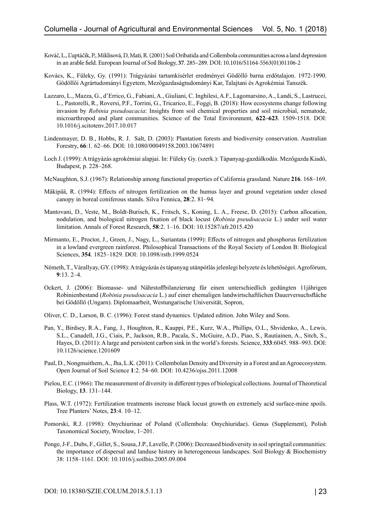- Kováč, L., L'uptáčik, P., Miklisová, D, Mati, R. (2001) Soil Oribatida and Collembola communities across a land depression in an arable field. European Journal of Soil Biology, **37**. 285–289. DOI: 10.1016/S1164-5563(01)01106-2
- Kovács, K., Füleky, Gy. (1991): Trágyázási tartamkísérlet eredményei Gödöllő barna erdőtalajon. 1972-1990. Gödöllői Agrártudományi Egyetem, Mezőgazdaságtudományi Kar, Talajtani és Agrokémiai Tanszék.
- Lazzaro, L., Mazza, G., d'Errico, G., Fabiani, A., Giuliani, C. Inghilesi, A.F., Lagomarsino, A., Landi, S., Lastrucci, L., Pastorelli, R., Roversi, P.F., Torrini, G., Tricarico, E., Foggi, B. (2018): How ecosystems change following invasion by *Robinia pseudoacacia*: Insights from soil chemical properties and soil microbial, nematode, microarthropod and plant communities. Science of the Total Environment, **622–623**. 1509-1518. DOI: 10.1016/j.scitotenv.2017.10.017
- Lindenmayer, D. B., Hobbs, R. J. Salt, D. (2003): Plantation forests and biodiversity conservation. Australian Forestry, **66**:1. 62–66. DOI: 10.1080/00049158.2003.10674891
- Loch J. (1999): A trágyázás agrokémiai alapjai. In: Füleky Gy. (szerk.): Tápanyag-gazdálkodás. Mezőgazda Kiadó, Budapest, p. 228–268.
- McNaughton, S.J. (1967): Relationship among functional properties of California grassland. Nature **216**. 168–169.
- Mäkipää, R. (1994): Effects of nitrogen fertilization on the humus layer and ground vegetation under closed canopy in boreal coniferous stands. Silva Fennica, **28**:2. 81–94.
- Mantovani, D., Veste, M., Boldt-Burisch, K., Fritsch, S., Koning, L. A., Freese, D. (2015): Carbon allocation, nodulation, and biological nitrogen fixation of black locust (*Robinia pseudoacacia* L.) under soil water limitation. Annals of Forest Research, **58**:2. 1–16. DOI: 10.15287/afr.2015.420
- Mirmanto, E., Proctor, J., Green, J., Nagy, L., Suriantata (1999): Effects of nitrogen and phosphorus fertilization in a lowland evergreen rainforest. Philosophical Transactions of the Royal Society of London B: Biological Sciences, **354**. 1825–1829. DOI: 10.1098/rstb.1999.0524
- Németh, T., Várallyay, GY. (1998): A trágyázás és tápanyag utánpótlás jelenlegi helyzete és lehetőségei. Agrofórum, **9**:13. 2–4.
- Ockert, J. (2006): Biomasse- und Nährstoffbilanzierung für einen unterschiedlich gedüngten 11jährigen Robinienbestand (*Robinia pseudoacacia* L.) auf einer ehemaligen landwirtschaftlichen Dauerversuchsfläche bei Gödöllő (Ungarn). Diplomaarbeit, Westungarische Universität, Sopron,
- Oliver, C. D., Larson, B. C. (1996): Forest stand dynamics. Updated edition. John Wiley and Sons.
- Pan, Y., Birdsey, R.A., Fang, J., Houghton, R., Kauppi, P.E., Kurz, W.A., Phillips, O.L., Shvidenko, A., Lewis, S.L., Canadell, J.G., Ciais, P., Jackson, R.B., Pacala, S., McGuire, A.D., Piao, S., Rautiainen, A., Sitch, S., Hayes, D. (2011): A large and persistent carbon sink in the world's forests. Science, **333**:6045. 988–993. DOI: 10.1126/science.1201609
- Paul, D., Nongmaithem, A., Jha, L.K. (2011): Collembolan Density and Diversity in a Forest and an Agroecosystem. Open Journal of Soil Science **1**:2. 54–60. DOI: 10.4236/ojss.2011.12008
- Pielou, E.C. (1966): The measurement of diversity in different types of biological collections. Journal of Theoretical Biology, **13**. 131–144.
- Plass, W.T. (1972): Fertilization treatments increase black locust growth on extremely acid surface-mine spoils. Tree Planters' Notes, **23**:4. 10–12.
- Pomorski, R.J. (1998): Onychiurinae of Poland (Collembola: Onychiuridae). Genus (Supplement), Polish Taxonomical Society, Wrocław, 1–201.
- Ponge, J-F., Dubs, F., Gillet, S., Sousa, J.P., Lavelle, P. (2006): Decreased biodiversity in soil springtail communities: the importance of dispersal and landuse history in heterogeneous landscapes. Soil Biology & Biochemistry 38: 1158–1161. DOI: 10.1016/j.soilbio.2005.09.004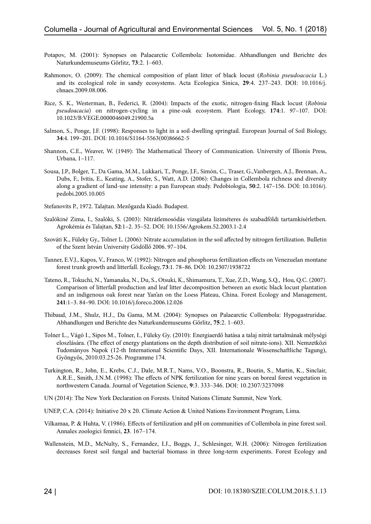- Potapov, M. (2001): Synopses on Palaearctic Collembola: Isotomidae. Abhandlungen und Berichte des Naturkundemuseums Görlitz, **73**:2. 1–603.
- Rahmonov, O. (2009): The chemical composition of plant litter of black locust (*Robinia pseudoacacia* L.) and its ecological role in sandy ecosystems. Acta Ecologica Sinica, **29**:4. 237–243. DOI: 10.1016/j. chnaes.2009.08.006.
- Rice, S. K., Westerman, B., Federici, R. (2004): Impacts of the exotic, nitrogen-fixing Black locust (*Robinia pseudoacacia*) on nitrogen-cycling in a pine-oak ecosystem. Plant Ecology, **174**:1. 97–107. DOI: 10.1023/B:VEGE.0000046049.21900.5a
- Salmon, S., Ponge, J.F. (1998): Responses to light in a soil-dwelling springtail. European Journal of Soil Biology, **34**:4. 199–201. DOI: 10.1016/S1164-5563(00)86662-5
- Shannon, C.E., Weaver, W. (1949): The Mathematical Theory of Communication. University of Illionis Press, Urbana, 1–117.
- Sousa, J.P., Bolger, T., Da Gama, M.M., Lukkari, T., Ponge, J.F., Simón, C., Traser, G.,Vanbergen, A.J., Brennan, A., Dubs, F., Ivitis, E., Keating, A., Stofer, S., Watt, A.D. (2006): Changes in Collembola richness and diversity along a gradient of land-use intensity: a pan European study. Pedobiologia, **50**:2. 147–156. DOI: 10.1016/j. pedobi.2005.10.005
- Stefanovits P., 1972. Talajtan. Mezőgazda Kiadó. Budapest.
- Szalókiné Zima, I., Szalóki, S. (2003): Nitrátlemosódás vizsgálata liziméteres és szabadföldi tartamkísérletben. Agrokémia és Talajtan, **52**:1–2. 35–52. DOI: 10.1556/Agrokem.52.2003.1-2.4
- Szováti K., Füleky Gy., Tolner L. (2006): Nitrate accumulation in the soil affected by nitrogen fertilization. Bulletin of the Szent István University Gödöllő 2006. 97–104.
- Tanner, E.V.J., Kapos, V., Franco, W. (1992): Nitrogen and phosphorus fertilization effects on Venezuelan montane forest trunk growth and litterfall. Ecology, **73**:1. 78–86. DOI: 10.2307/1938722
- Tateno, R., Tokuchi, N., Yamanaka, N., Du, S., Otsuki, K., Shimamura, T., Xue, Z.D., Wang, S.Q., Hou, Q.C. (2007). Comparison of litterfall production and leaf litter decomposition between an exotic black locust plantation and an indigenous oak forest near Yan'an on the Loess Plateau, China. Forest Ecology and Management, **241**:1–3. 84–90. DOI: 10.1016/j.foreco.2006.12.026
- Thibaud, J.M., Shulz, H.J., Da Gama, M.M. (2004): Synopses on Palaearctic Collembola: Hypogastruridae. Abhandlungen und Berichte des Naturkundemuseums Görlitz, **75**:2. 1–603.
- Tolner L., Vágó I., Sipos M., Tolner, I., Füleky Gy. (2010): Energiaerdő hatása a talaj nitrát tartalmának mélységi eloszlására. (The effect of energy plantations on the depth distribution of soil nitrate-ions). XII. Nemzetközi Tudományos Napok (12-th International Scientific Days, XII. Internationale Wissenschaftliche Tagung), Gyöngyös, 2010.03.25-26. Programme 174.
- Turkington, R., John, E., Krebs, C.J., Dale, M.R.T., Nams, V.O., Boonstra, R., Boutin, S., Martin, K., Sinclair, A.R.E., Smith, J.N.M. (1998): The effects of NPK fertilization for nine years on boreal forest vegetation in northwestern Canada. Journal of Vegetation Science, **9**:3. 333–346. DOI: 10.2307/3237098
- UN (2014): The New York Declaration on Forests. United Nations Climate Summit, New York.
- UNEP, C.A. (2014): Initiative 20 x 20. Climate Action & United Nations Environment Program, Lima.
- Vilkamaa, P. & Huhta, V. (1986). Effects of fertilization and pH on communities of Collembola in pine forest soil. Annales zoologici fennici, **23**. 167–174.
- Wallenstein, M.D., McNulty, S., Fernandez, I.J., Boggs, J., Schlesinger, W.H. (2006): Nitrogen fertilization decreases forest soil fungal and bacterial biomass in three long-term experiments. Forest Ecology and